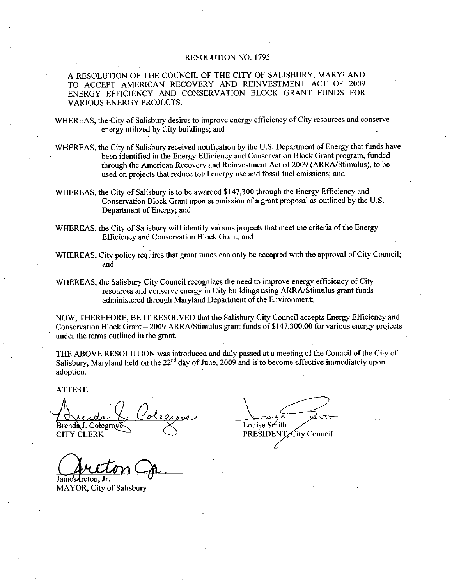## RESOLUTION NO. 1795

A RESOLUTION OF THE COUNCIL OF THE CITY OF SALISBURY, MARYLAND TO ACCEPT AMERICAN RECOVERY AND REINVESTMENT ACT OF 2009 ENERGY EFFICIENCY AND CONSERVATION BLOCK GRANT FUNDS FOR VARIOUS ENERGY PROJECTS

WHEREAS, the City of Salisbury desires to improve energy efficiency of City resources and conserve energy utilized by City buildings; and

WHEREAS, the City of Salisbury received notification by the U.S. Department of Energy that funds have been identified in the Energy Efficiency and Conservation Block Grant program funded through the American Recovery and Reinvestment Act of 2009 (ARRA/Stimulus), to be used on projects that reduce total energy use and fossil fuel emissions; and

WHEREAS, the City of Salisbury is to be awarded \$147,300 through the Energy Efficiency and<br>Conservation Block Grant upon submission of a grant proposal as outlined by the U.S. Department of Energy; and

WHEREAS, the City of Salisbury will identify various projects that meet the criteria of the Energy Efficiency and Conservation Block Grant; and

WHEREAS, City policy requires that grant funds can only be accepted with the approval of City Council; and

WHEREAS, the Salisbury City Council recognizes the need to improve energy efficiency of City resources and conserve energy in City buildings using ARRA/Stimulus grant funds administered through Maryland Department of the Environment;

NOW, THEREFORE, BE IT RESOLVED that the Salisbury City Council accepts Energy Efficiency and Conservation Block Grant – 2009 ARRA/Stimulus grant funds of \$147,300.00 for various energy projects<br>Conservation Block Grant – 2009 ARRA/Stimulus grant funds of \$147,300.00 for various energy projects<br>under the terms outl under the terms outlined in the grant

THE ABOVE RESOLUTION was introduced and duly passed at a meeting of the Council of the City of Salisbury, Maryland held on the  $22<sup>nd</sup>$  day of June, 2009 and is to become effective immediately upon adoption

ATTEST

Brenda J. Colegrove CITY CLERK

Lareton Ir MAYOR, City of Salisbury

 $\overline{\phantom{1}}$ <br>  $\overline{\phantom{1}}$   $\overline{\phantom{1}}$ <br>
Smith<br>  $\overline{\phantom{1}}$   $\overline{\phantom{1}}$   $\overline{\phantom{1}}$   $\overline{\phantom{1}}$   $\overline{\phantom{1}}$   $\overline{\phantom{1}}$   $\overline{\phantom{1}}$   $\overline{\phantom{1}}$   $\overline{\phantom{1}}$   $\overline{\phantom{1}}$   $\overline{\phantom{1}}$   $\overline{\phantom{1}}$   $\overline{\phantom{1}}$   $\overline{\phantom{1}}$   $\overline{\phantom{$ Louise Smith PRESIDENT City Council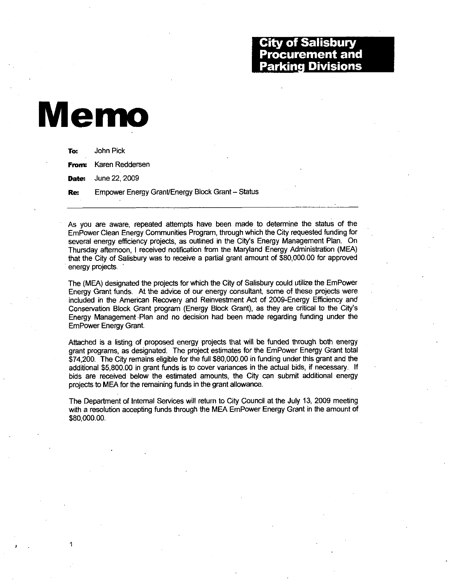## Memo

| To: | John Pick                                        |
|-----|--------------------------------------------------|
|     | <b>From:</b> Karen Reddersen                     |
|     | <b>Date:</b> June 22, 2009                       |
| Re: | Empower Energy Grant/Energy Block Grant - Status |

As you are aware, repeated attempts have been made to determine the status of the EmPower Clean Energy Communities Program, through which the City requested funding for As you are aware, repeated attempts have been made to determine the status of the<br>EmPower Clean Energy Communities Program, through which the City requested funding for<br>several energy efficiency projects, as outlined in th Thursday afternoon, I received notification from the Maryland Energy Administration (MEA) that the City of Salisbury was to receive a partial grant amount of \$80,000.00 for approved Ethis one: Enterpy efficiency projects, as outlined in the City's Energy Management Plan. On<br>Thursday afternoon, I received notification from the Maryland Energy Administration (MEA)<br>that the City of Salisbury was to recei energy projects

The (MEA) designated the projects for which the City of Salisbury could utilize the EmPower Energy Grant funds. At the advice of our energy consultant, some of these projects were included in the American Recovery and Reinvestment Act of 2009-Energy Efficiency and Conservation Block Grant program (Energy Block Grant), as they are critical to the City's Energy Management Plan and no decision had been made regarding funding under the Empower Energy Grant

Attached is a listing of proposed energy projects that will be funded through both energy<br>grant programs, as designated. The project estimates for the EmPower Energy Grant total<br>\$74,200. The City remains eligible for the f grant programs, as designated. The project estimates for the EmPower Energy Grant total EmPower Energy Grant.<br>Attached is a listing of proposed energy projects that will be funded through both energy<br>grant programs, as designated. The project estimates for the EmPower Energy Grant total<br>\$74,200. The City rema bids are received below the estimated amounts, the City can submit additional energy projects to MEA for the remaining funds in the grant allowance

The Department of Internal Services will return to City Council at the July 13, 2009 meeting with a resolution accepting funds through the MEA EmPower Energy Grant in the amount of \$80,000.00. with a resolution accepting funds through the MEA EmPower Energy Grant in the amount of \$80,000.00.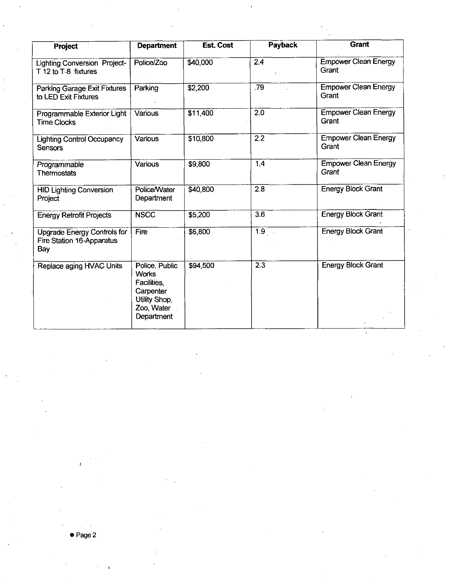| Project                                                         | <b>Department</b>                                                                                             | <b>Est. Cost</b> | Payback            | <b>Grant</b>                                |
|-----------------------------------------------------------------|---------------------------------------------------------------------------------------------------------------|------------------|--------------------|---------------------------------------------|
| <b>Lighting Conversion Project-</b><br>T 12 to T-8 fixtures     | Police/Zoo                                                                                                    | \$40,000         | 2.4                | <b>Empower Clean Energy</b><br>Grant        |
| Parking Garage Exit Fixtures<br>to LED Exit Fixtures            | Parking                                                                                                       | \$2,200          | .79                | <b>Empower Clean Energy</b><br>Grant        |
| Programmable Exterior Light<br><b>Time Clocks</b>               | Various                                                                                                       | \$11,400         | 2.0                | <b>Empower Clean Energy</b><br><b>Grant</b> |
| <b>Lighting Control Occupancy</b><br>Sensors                    | Various                                                                                                       | \$10,800         | $\overline{2.2}$   | <b>Empower Clean Energy</b><br>Grant        |
| Programmable<br>Thermostats                                     | <b>Various</b>                                                                                                | \$9,800          | 1.4                | <b>Empower Clean Energy</b><br>Grant        |
| <b>HID Lighting Conversion</b><br>Project                       | Police/Water<br>Department                                                                                    | \$40,800         | 2.8                | <b>Energy Block Grant</b>                   |
| <b>Energy Retrofit Projects</b>                                 | <b>NSCC</b>                                                                                                   | \$5,200          | $\overline{3.6}$   | <b>Energy Block Grant</b>                   |
| Upgrade Energy Controls for<br>Fire Station 16-Apparatus<br>Bay | Fire                                                                                                          | \$6,800          | $\overline{1.9}$ . | <b>Energy Block Grant</b>                   |
| Replace aging HVAC Units                                        | Police, Public<br><b>Works</b><br><b>Facilities</b><br>Carpenter<br>Utility Shop,<br>Zoo, Water<br>Department | \$94,500         | $\overline{2.3}$   | <b>Energy Block Grant</b>                   |

 $\ddot{\phantom{a}}$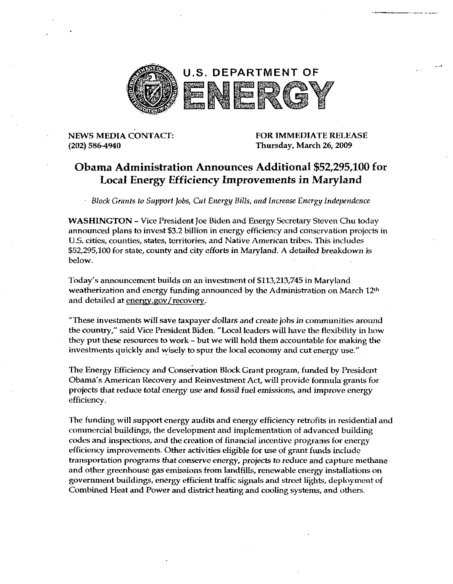

NEWS MEDIA CONTACT <sup>202</sup> 586 4940

Thursday, March 26, 2009

## NEWS MEDIA CONTACT:<br>
(202) 586-4940<br>
Obama Administration Announces Additional \$52,295,100 for Local Energy Efficiency Improvements in Maryland

Block Grants to Support Jobs, Cut Energy Bills, and Increase Energy Independence

WASHINGTON – Vice President Joe Biden and Energy Secretary Steven Chu today announced plans to invest \$3.2 billion in energy efficiency and conservation projects in U.S. cities, counties, states, territories, and Native American tribes. This includes \$52,295,100 for state, county and city efforts in Maryland. A detailed breakdown is below announcement builds on an investment of \$113,213,745 in Maryland<br>is, counties, states, territories, and Native American tribes. This include<br>100 for state, county and city efforts in Maryland. A detailed breakd<br>announcemen

Today's announcement builds on an investment of \$113,213,745 in Maryland weatherization and energy funding announced by the Administration on March 12 and detailed at energy.gov/recovery.

These investments willsave taxpayer doilarsand create jobs in communities around the country," said Vice President Biden. "Local leaders will have the flexibility in how investments quickly and wisely to spur the local economy and cut energy use

they put these resources to work – but we will hold them accountable for making the<br>investments quickly and wisely to spur the local economy and cut energy use."<br>The Energy Efficiency and Conservation Block Grant program, The Energy Efficiency and Conservation Block Grant program, funded by President<br>Obama's American Recovery and Reinvestment Act, will provide formula grants for projects that reduce total energy use and fossil fuel emissions, and improve energy efficiency

The funding will support energy audits and energy efficiency retrofits in residential and commercial buildings, the development and implementation of advanced building codes and inspections, and the creation of financial incentive programs for energy efficiency improvements. Other activities eligible for use of grant funds include transportation programs that conserve energy, projects to reduce and capture methane and other greenhouse gas emissions from landfills, renewable energy installations on government buildings, energy efficient traffic signals and street lights, deployment of Combined Heat and Power and district heating and cooling systems, and others.